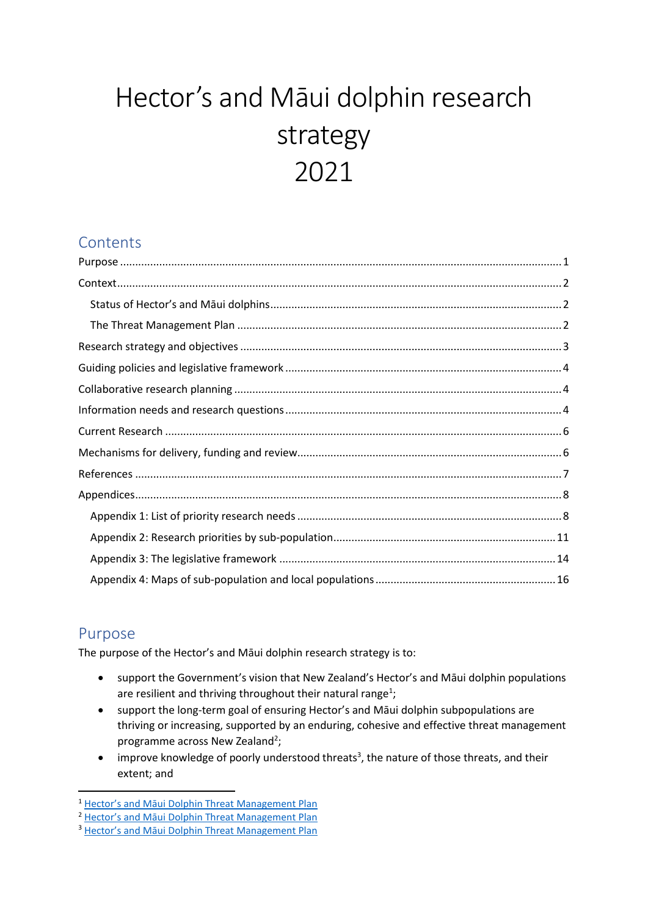# Hector's and Māui dolphin research strategy 2021

## **Contents**

## <span id="page-0-0"></span>Purpose

The purpose of the Hector's and Māui dolphin research strategy is to:

- support the Government's vision that New Zealand's Hector's and Māui dolphin populations are resilient and thriving throughout their natural range<sup>1</sup>;
- support the long-term goal of ensuring Hector's and Māui dolphin subpopulations are thriving or increasing, supported by an enduring, cohesive and effective threat management programme across New Zealand<sup>2</sup>;
- improve knowledge of poorly understood threats<sup>3</sup>, the nature of those threats, and their extent; and

<sup>1</sup> Hector's and Māui [Dolphin Threat Management Plan](https://www.doc.govt.nz/our-work/protecting-species/protecting-marine-species/our-work-with-maui-dolphin/hectors-and-maui-dolphin-threat-management-plan/)

<sup>&</sup>lt;sup>2</sup> Hector's and Māui [Dolphin Threat Management Plan](https://www.doc.govt.nz/our-work/protecting-species/protecting-marine-species/our-work-with-maui-dolphin/hectors-and-maui-dolphin-threat-management-plan/)

<sup>3</sup> Hector's and Māui [Dolphin Threat Management Plan](https://www.doc.govt.nz/our-work/protecting-species/protecting-marine-species/our-work-with-maui-dolphin/hectors-and-maui-dolphin-threat-management-plan/)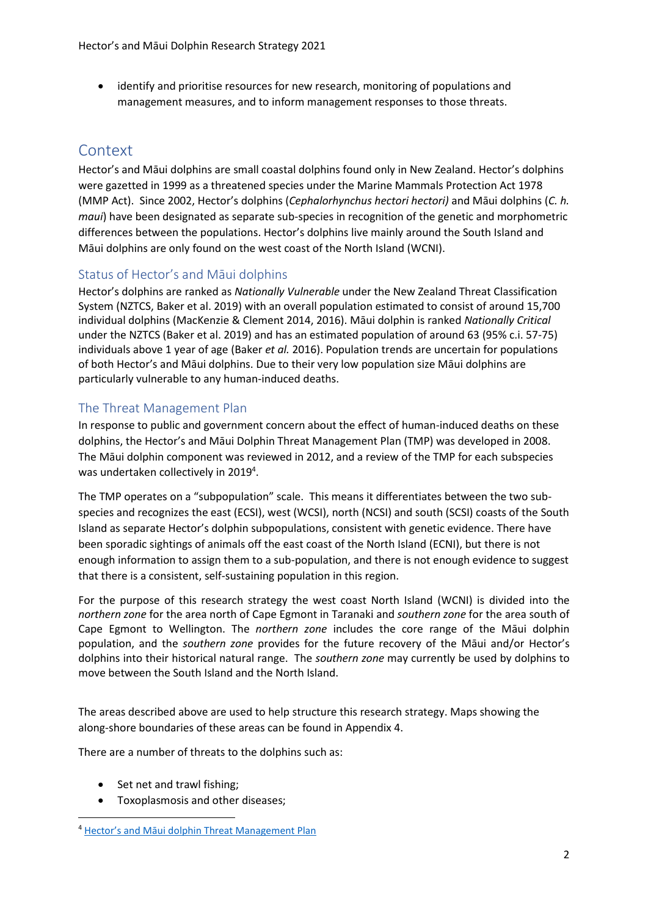• identify and prioritise resources for new research, monitoring of populations and management measures, and to inform management responses to those threats.

## <span id="page-1-0"></span>**Context**

Hector's and Māui dolphins are small coastal dolphins found only in New Zealand. Hector's dolphins were gazetted in 1999 as a threatened species under the Marine Mammals Protection Act 1978 (MMP Act). Since 2002, Hector's dolphins (*Cephalorhynchus hectori hectori)* and Māui dolphins (*C. h. maui*) have been designated as separate sub-species in recognition of the genetic and morphometric differences between the populations. Hector's dolphins live mainly around the South Island and Māui dolphins are only found on the west coast of the North Island (WCNI).

#### <span id="page-1-1"></span>Status of Hector's and Māui dolphins

Hector's dolphins are ranked as *Nationally Vulnerable* under the New Zealand Threat Classification System (NZTCS, Baker et al. 2019) with an overall population estimated to consist of around 15,700 individual dolphins (MacKenzie & Clement 2014, 2016). Māui dolphin is ranked *Nationally Critical* under the NZTCS (Baker et al. 2019) and has an estimated population of around 63 (95% c.i. 57-75) individuals above 1 year of age (Baker *et al.* 2016). Population trends are uncertain for populations of both Hector's and Māui dolphins. Due to their very low population size Māui dolphins are particularly vulnerable to any human-induced deaths.

#### <span id="page-1-2"></span>The Threat Management Plan

In response to public and government concern about the effect of human-induced deaths on these dolphins, the Hector's and Māui Dolphin Threat Management Plan (TMP) was developed in 2008. The Māui dolphin component was reviewed in 2012, and a review of the TMP for each subspecies was undertaken collectively in 2019<sup>4</sup>.

The TMP operates on a "subpopulation" scale. This means it differentiates between the two subspecies and recognizes the east (ECSI), west (WCSI), north (NCSI) and south (SCSI) coasts of the South Island as separate Hector's dolphin subpopulations, consistent with genetic evidence. There have been sporadic sightings of animals off the east coast of the North Island (ECNI), but there is not enough information to assign them to a sub-population, and there is not enough evidence to suggest that there is a consistent, self-sustaining population in this region.

For the purpose of this research strategy the west coast North Island (WCNI) is divided into the *northern zone* for the area north of Cape Egmont in Taranaki and *southern zone* for the area south of Cape Egmont to Wellington. The *northern zone* includes the core range of the Māui dolphin population, and the *southern zone* provides for the future recovery of the Māui and/or Hector's dolphins into their historical natural range. The *southern zone* may currently be used by dolphins to move between the South Island and the North Island.

The areas described above are used to help structure this research strategy. Maps showing the along-shore boundaries of these areas can be found in Appendix 4.

There are a number of threats to the dolphins such as:

- Set net and trawl fishing;
- Toxoplasmosis and other diseases;

<sup>4</sup> [Hector's and Māui dolphin Threat Management Plan](https://www.doc.govt.nz/our-work/protecting-species/protecting-marine-species/our-work-with-maui-dolphin/hectors-and-maui-dolphin-threat-management-plan/)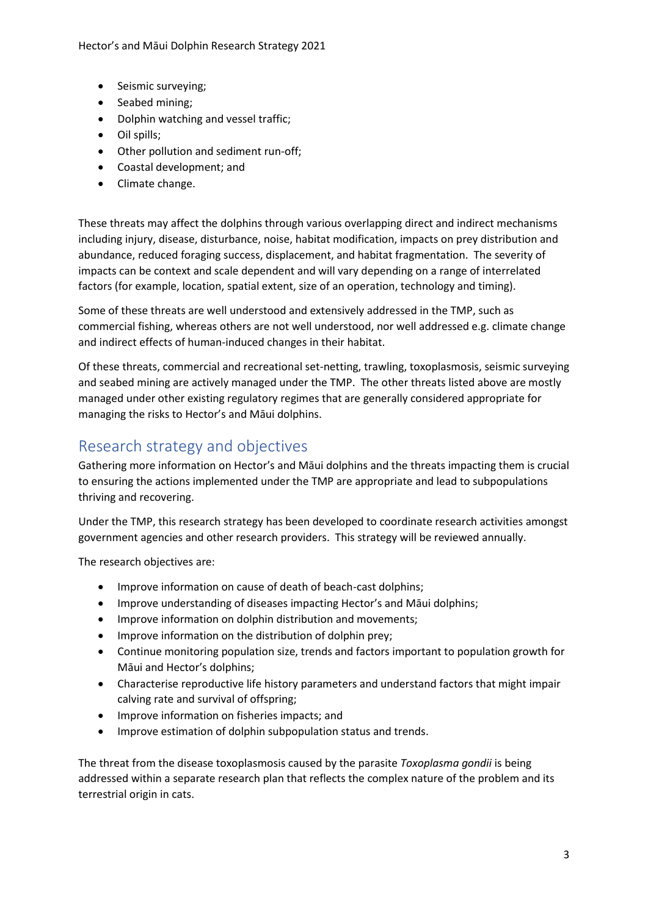Hector's and Māui Dolphin Research Strategy 2021

- Seismic surveying;
- Seabed mining;
- Dolphin watching and vessel traffic;
- Oil spills;
- Other pollution and sediment run-off;
- Coastal development; and
- Climate change.

These threats may affect the dolphins through various overlapping direct and indirect mechanisms including injury, disease, disturbance, noise, habitat modification, impacts on prey distribution and abundance, reduced foraging success, displacement, and habitat fragmentation. The severity of impacts can be context and scale dependent and will vary depending on a range of interrelated factors (for example, location, spatial extent, size of an operation, technology and timing).

Some of these threats are well understood and extensively addressed in the TMP, such as commercial fishing, whereas others are not well understood, nor well addressed e.g. climate change and indirect effects of human-induced changes in their habitat.

Of these threats, commercial and recreational set-netting, trawling, toxoplasmosis, seismic surveying and seabed mining are actively managed under the TMP. The other threats listed above are mostly managed under other existing regulatory regimes that are generally considered appropriate for managing the risks to Hector's and Māui dolphins.

## <span id="page-2-0"></span>Research strategy and objectives

Gathering more information on Hector's and Māui dolphins and the threats impacting them is crucial to ensuring the actions implemented under the TMP are appropriate and lead to subpopulations thriving and recovering.

Under the TMP, this research strategy has been developed to coordinate research activities amongst government agencies and other research providers. This strategy will be reviewed annually.

The research objectives are:

- Improve information on cause of death of beach-cast dolphins;
- Improve understanding of diseases impacting Hector's and Māui dolphins;
- Improve information on dolphin distribution and movements;
- Improve information on the distribution of dolphin prey;
- Continue monitoring population size, trends and factors important to population growth for Māui and Hector's dolphins;
- Characterise reproductive life history parameters and understand factors that might impair calving rate and survival of offspring;
- Improve information on fisheries impacts; and
- Improve estimation of dolphin subpopulation status and trends.

The threat from the disease toxoplasmosis caused by the parasite *Toxoplasma gondii* is being addressed within a separate research plan that reflects the complex nature of the problem and its terrestrial origin in cats.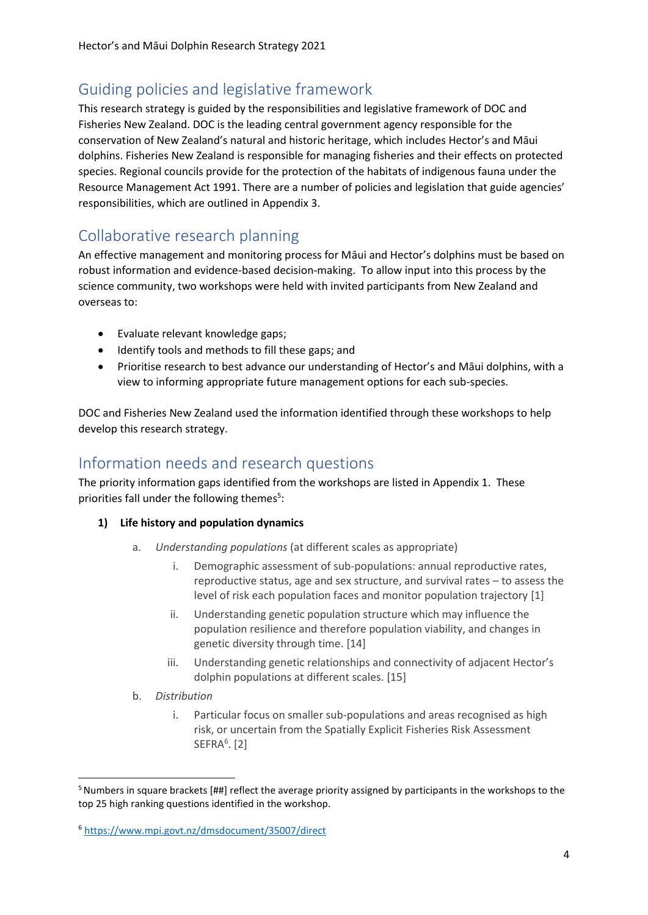## <span id="page-3-0"></span>Guiding policies and legislative framework

This research strategy is guided by the responsibilities and legislative framework of DOC and Fisheries New Zealand. DOC is the leading central government agency responsible for the conservation of New Zealand's natural and historic heritage, which includes Hector's and Māui dolphins. Fisheries New Zealand is responsible for managing fisheries and their effects on protected species. Regional councils provide for the protection of the habitats of indigenous fauna under the Resource Management Act 1991. There are a number of policies and legislation that guide agencies' responsibilities, which are outlined in Appendix 3.

## <span id="page-3-1"></span>Collaborative research planning

An effective management and monitoring process for Māui and Hector's dolphins must be based on robust information and evidence-based decision-making. To allow input into this process by the science community, two workshops were held with invited participants from New Zealand and overseas to:

- Evaluate relevant knowledge gaps;
- Identify tools and methods to fill these gaps; and
- Prioritise research to best advance our understanding of Hector's and Māui dolphins, with a view to informing appropriate future management options for each sub-species.

DOC and Fisheries New Zealand used the information identified through these workshops to help develop this research strategy.

## <span id="page-3-2"></span>Information needs and research questions

The priority information gaps identified from the workshops are listed in Appendix 1. These priorities fall under the following themes<sup>5</sup>:

- **1) Life history and population dynamics**
	- a. *Understanding populations* (at different scales as appropriate)
		- i. Demographic assessment of sub-populations: annual reproductive rates, reproductive status, age and sex structure, and survival rates – to assess the level of risk each population faces and monitor population trajectory [1]
		- ii. Understanding genetic population structure which may influence the population resilience and therefore population viability, and changes in genetic diversity through time. [14]
		- iii. Understanding genetic relationships and connectivity of adjacent Hector's dolphin populations at different scales. [15]
	- b. *Distribution* 
		- i. Particular focus on smaller sub-populations and areas recognised as high risk, or uncertain from the Spatially Explicit Fisheries Risk Assessment  $SEFRA<sup>6</sup>$ . [2]

<sup>&</sup>lt;sup>5</sup> Numbers in square brackets [##] reflect the average priority assigned by participants in the workshops to the top 25 high ranking questions identified in the workshop.

<sup>6</sup> <https://www.mpi.govt.nz/dmsdocument/35007/direct>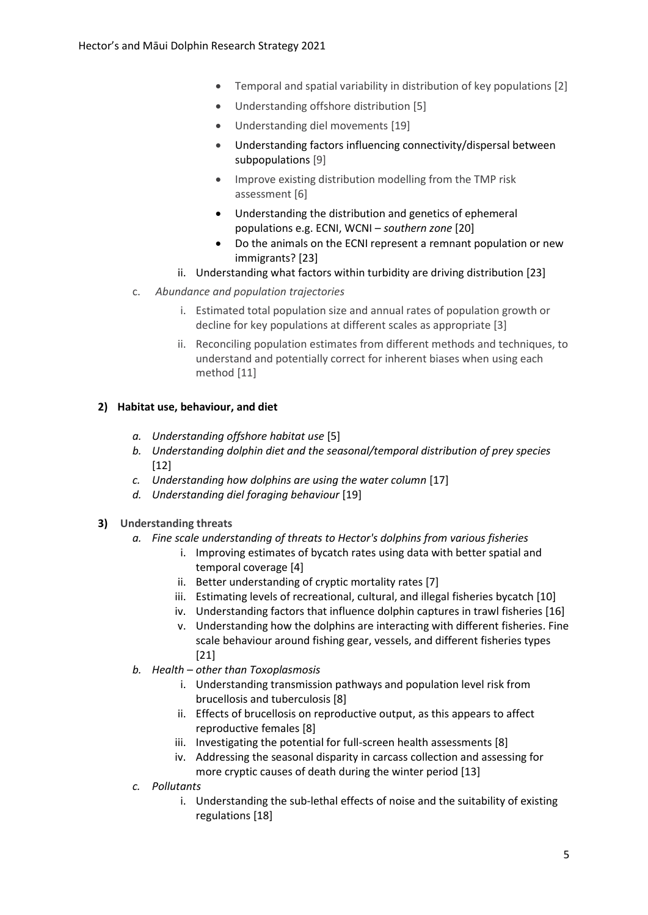- Temporal and spatial variability in distribution of key populations [2]
- Understanding offshore distribution [5]
- Understanding diel movements [19]
- Understanding factors influencing connectivity/dispersal between subpopulations [9]
- Improve existing distribution modelling from the TMP risk assessment [6]
- Understanding the distribution and genetics of ephemeral populations e.g. ECNI, WCNI – *southern zone* [20]
- Do the animals on the ECNI represent a remnant population or new immigrants? [23]
- ii. Understanding what factors within turbidity are driving distribution [23]
- c. *Abundance and population trajectories*
	- i. Estimated total population size and annual rates of population growth or decline for key populations at different scales as appropriate [3]
	- ii. Reconciling population estimates from different methods and techniques, to understand and potentially correct for inherent biases when using each method [11]

#### **2) Habitat use, behaviour, and diet**

- *a. Understanding offshore habitat use* [5]
- *b. Understanding dolphin diet and the seasonal/temporal distribution of prey species* [12]
- *c. Understanding how dolphins are using the water column* [17]
- *d. Understanding diel foraging behaviour* [19]
- **3) Understanding threats**
	- *a. Fine scale understanding of threats to Hector's dolphins from various fisheries*
		- i. Improving estimates of bycatch rates using data with better spatial and temporal coverage [4]
		- ii. Better understanding of cryptic mortality rates [7]
		- iii. Estimating levels of recreational, cultural, and illegal fisheries bycatch [10]
		- iv. Understanding factors that influence dolphin captures in trawl fisheries [16]
		- v. Understanding how the dolphins are interacting with different fisheries. Fine scale behaviour around fishing gear, vessels, and different fisheries types [21]
	- *b. Health – other than Toxoplasmosis* 
		- i. Understanding transmission pathways and population level risk from brucellosis and tuberculosis [8]
		- ii. Effects of brucellosis on reproductive output, as this appears to affect reproductive females [8]
		- iii. Investigating the potential for full-screen health assessments [8]
		- iv. Addressing the seasonal disparity in carcass collection and assessing for more cryptic causes of death during the winter period [13]
	- *c. Pollutants*
		- i. Understanding the sub-lethal effects of noise and the suitability of existing regulations [18]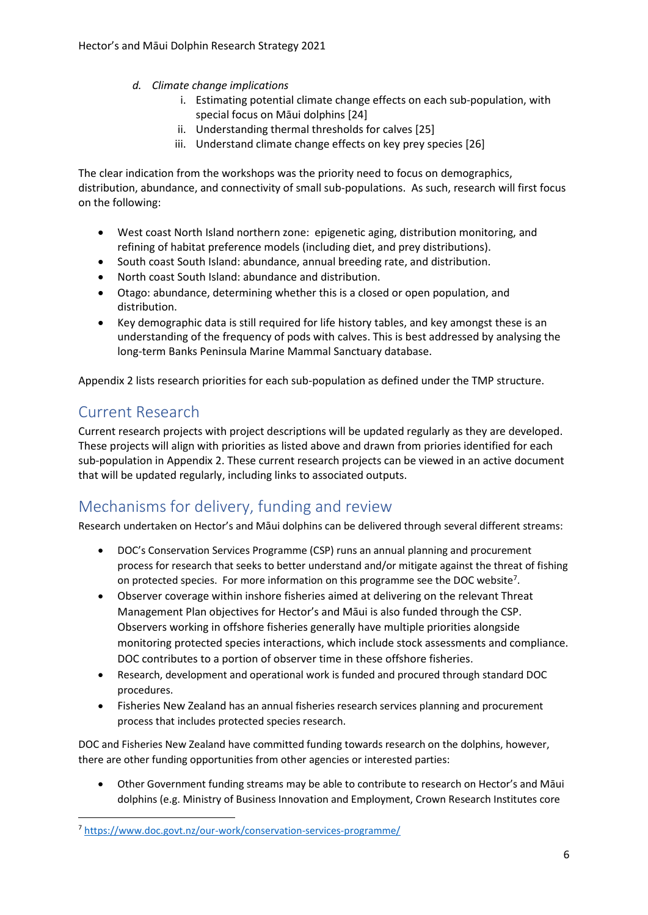- *d. Climate change implications*
	- i. Estimating potential climate change effects on each sub-population, with special focus on Māui dolphins [24]
	- ii. Understanding thermal thresholds for calves [25]
	- iii. Understand climate change effects on key prey species [26]

The clear indication from the workshops was the priority need to focus on demographics, distribution, abundance, and connectivity of small sub-populations. As such, research will first focus on the following:

- West coast North Island northern zone: epigenetic aging, distribution monitoring, and refining of habitat preference models (including diet, and prey distributions).
- South coast South Island: abundance, annual breeding rate, and distribution.
- North coast South Island: abundance and distribution.
- Otago: abundance, determining whether this is a closed or open population, and distribution.
- Key demographic data is still required for life history tables, and key amongst these is an understanding of the frequency of pods with calves. This is best addressed by analysing the long-term Banks Peninsula Marine Mammal Sanctuary database.

Appendix 2 lists research priorities for each sub-population as defined under the TMP structure.

## <span id="page-5-0"></span>Current Research

Current research projects with project descriptions will be updated regularly as they are developed. These projects will align with priorities as listed above and drawn from priories identified for each sub-population in Appendix 2. These current research projects can be viewed in an active document that will be updated regularly, including links to associated outputs.

## <span id="page-5-1"></span>Mechanisms for delivery, funding and review

Research undertaken on Hector's and Māui dolphins can be delivered through several different streams:

- DOC's Conservation Services Programme (CSP) runs an annual planning and procurement process for research that seeks to better understand and/or mitigate against the threat of fishing on protected species. For more information on this programme see the DOC website<sup>7</sup>.
- Observer coverage within inshore fisheries aimed at delivering on the relevant Threat Management Plan objectives for Hector's and Māui is also funded through the CSP. Observers working in offshore fisheries generally have multiple priorities alongside monitoring protected species interactions, which include stock assessments and compliance. DOC contributes to a portion of observer time in these offshore fisheries.
- Research, development and operational work is funded and procured through standard DOC procedures.
- Fisheries New Zealand has an annual fisheries research services planning and procurement process that includes protected species research.

DOC and Fisheries New Zealand have committed funding towards research on the dolphins, however, there are other funding opportunities from other agencies or interested parties:

• Other Government funding streams may be able to contribute to research on Hector's and Māui dolphins (e.g. Ministry of Business Innovation and Employment, Crown Research Institutes core

<sup>7</sup> <https://www.doc.govt.nz/our-work/conservation-services-programme/>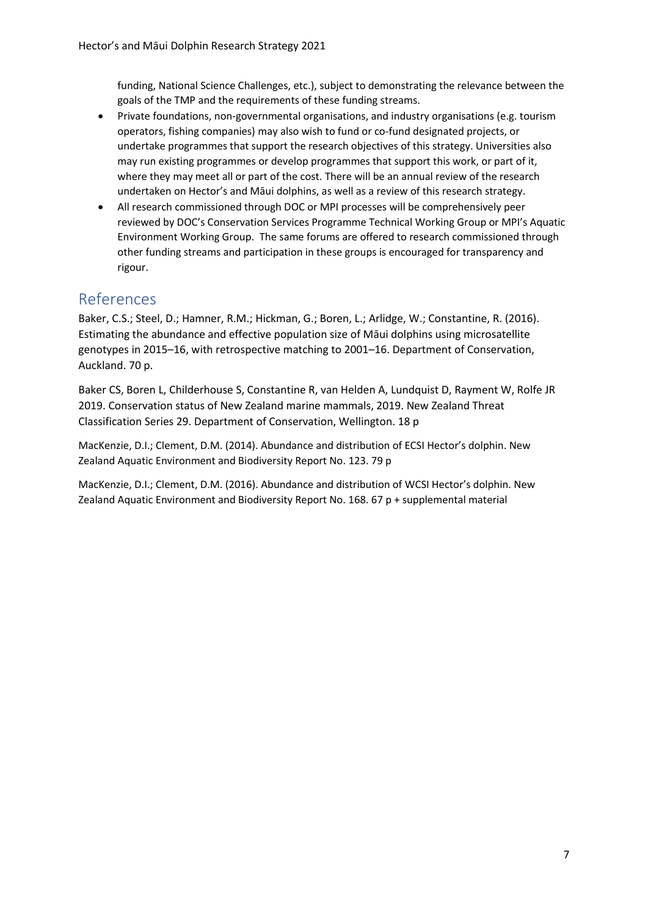funding, National Science Challenges, etc.), subject to demonstrating the relevance between the goals of the TMP and the requirements of these funding streams.

- Private foundations, non-governmental organisations, and industry organisations (e.g. tourism operators, fishing companies) may also wish to fund or co-fund designated projects, or undertake programmes that support the research objectives of this strategy. Universities also may run existing programmes or develop programmes that support this work, or part of it, where they may meet all or part of the cost. There will be an annual review of the research undertaken on Hector's and Māui dolphins, as well as a review of this research strategy.
- All research commissioned through DOC or MPI processes will be comprehensively peer reviewed by DOC's Conservation Services Programme Technical Working Group or MPI's Aquatic Environment Working Group. The same forums are offered to research commissioned through other funding streams and participation in these groups is encouraged for transparency and rigour.

### <span id="page-6-0"></span>References

Baker, C.S.; Steel, D.; Hamner, R.M.; Hickman, G.; Boren, L.; Arlidge, W.; Constantine, R. (2016). Estimating the abundance and effective population size of Māui dolphins using microsatellite genotypes in 2015–16, with retrospective matching to 2001–16. Department of Conservation, Auckland. 70 p.

Baker CS, Boren L, Childerhouse S, Constantine R, van Helden A, Lundquist D, Rayment W, Rolfe JR 2019. Conservation status of New Zealand marine mammals, 2019. New Zealand Threat Classification Series 29. Department of Conservation, Wellington. 18 p

MacKenzie, D.I.; Clement, D.M. (2014). Abundance and distribution of ECSI Hector's dolphin. New Zealand Aquatic Environment and Biodiversity Report No. 123. 79 p

MacKenzie, D.I.; Clement, D.M. (2016). Abundance and distribution of WCSI Hector's dolphin. New Zealand Aquatic Environment and Biodiversity Report No. 168. 67 p + supplemental material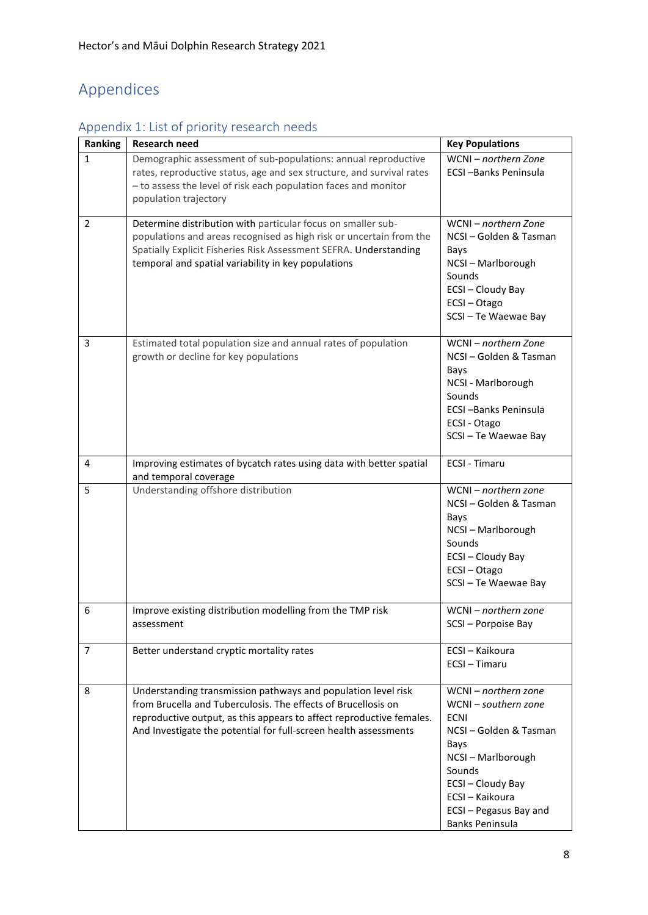## <span id="page-7-0"></span>Appendices

## <span id="page-7-1"></span>Appendix 1: List of priority research needs

| Ranking        | Research need                                                                                                                                                                                                                                                              | <b>Key Populations</b>                                                                                                                                                                                       |
|----------------|----------------------------------------------------------------------------------------------------------------------------------------------------------------------------------------------------------------------------------------------------------------------------|--------------------------------------------------------------------------------------------------------------------------------------------------------------------------------------------------------------|
| $\mathbf{1}$   | Demographic assessment of sub-populations: annual reproductive<br>rates, reproductive status, age and sex structure, and survival rates<br>- to assess the level of risk each population faces and monitor<br>population trajectory                                        | WCNI - northern Zone<br><b>ECSI-Banks Peninsula</b>                                                                                                                                                          |
| $\overline{2}$ | Determine distribution with particular focus on smaller sub-<br>populations and areas recognised as high risk or uncertain from the<br>Spatially Explicit Fisheries Risk Assessment SEFRA. Understanding<br>temporal and spatial variability in key populations            | WCNI - northern Zone<br>NCSI-Golden & Tasman<br>Bays<br>NCSI-Marlborough<br>Sounds<br>ECSI-Cloudy Bay<br>ECSI-Otago<br>SCSI-Te Waewae Bay                                                                    |
| 3              | Estimated total population size and annual rates of population<br>growth or decline for key populations                                                                                                                                                                    | WCNI - northern Zone<br>NCSI-Golden & Tasman<br>Bays<br>NCSI - Marlborough<br>Sounds<br>ECSI-Banks Peninsula<br>ECSI - Otago<br>SCSI-Te Waewae Bay                                                           |
| 4              | Improving estimates of bycatch rates using data with better spatial<br>and temporal coverage                                                                                                                                                                               | <b>ECSI - Timaru</b>                                                                                                                                                                                         |
| 5              | Understanding offshore distribution                                                                                                                                                                                                                                        | WCNI - northern zone<br>NCSI-Golden & Tasman<br>Bays<br>NCSI-Marlborough<br>Sounds<br>ECSI-Cloudy Bay<br>ECSI-Otago<br>SCSI-Te Waewae Bay                                                                    |
| 6              | Improve existing distribution modelling from the TMP risk<br>assessment                                                                                                                                                                                                    | WCNI - northern zone<br>SCSI - Porpoise Bay                                                                                                                                                                  |
| 7              | Better understand cryptic mortality rates                                                                                                                                                                                                                                  | ECSI - Kaikoura<br>ECSI-Timaru                                                                                                                                                                               |
| 8              | Understanding transmission pathways and population level risk<br>from Brucella and Tuberculosis. The effects of Brucellosis on<br>reproductive output, as this appears to affect reproductive females.<br>And Investigate the potential for full-screen health assessments | WCNI - northern zone<br>WCNI - southern zone<br><b>ECNI</b><br>NCSI-Golden & Tasman<br>Bays<br>NCSI-Marlborough<br>Sounds<br>ECSI-Cloudy Bay<br>ECSI - Kaikoura<br>ECSI - Pegasus Bay and<br>Banks Peninsula |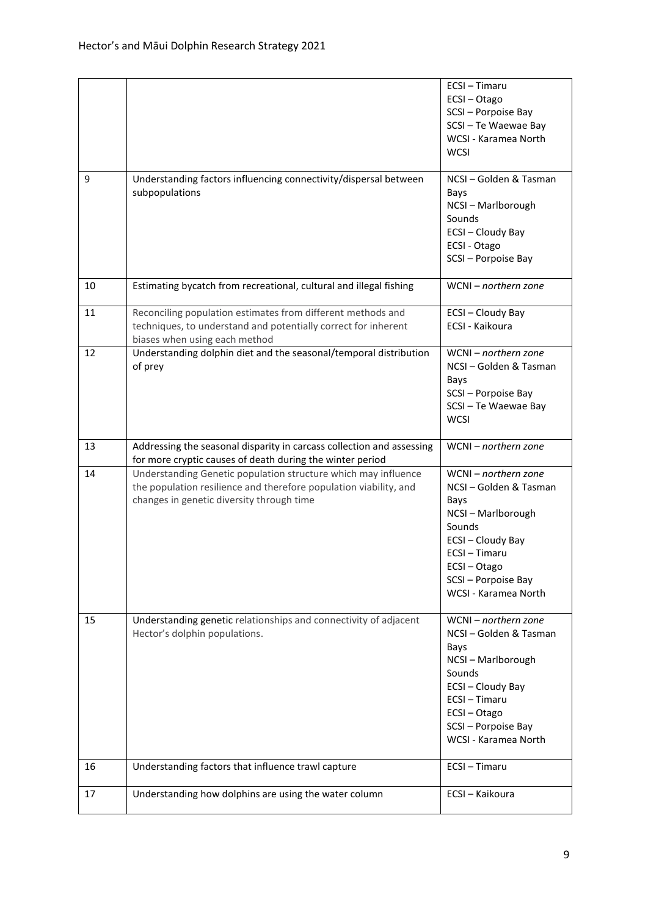|    |                                                                                                                                                                                  | ECSI-Timaru<br>ECSI-Otago<br>SCSI-Porpoise Bay<br>SCSI-Te Waewae Bay<br>WCSI - Karamea North<br><b>WCSI</b>                                                                     |
|----|----------------------------------------------------------------------------------------------------------------------------------------------------------------------------------|---------------------------------------------------------------------------------------------------------------------------------------------------------------------------------|
| 9  | Understanding factors influencing connectivity/dispersal between<br>subpopulations                                                                                               | NCSI-Golden & Tasman<br>Bays<br>NCSI-Marlborough<br>Sounds<br>ECSI-Cloudy Bay<br>ECSI - Otago<br>SCSI-Porpoise Bay                                                              |
| 10 | Estimating bycatch from recreational, cultural and illegal fishing                                                                                                               | $WCNI - northern zone$                                                                                                                                                          |
| 11 | Reconciling population estimates from different methods and<br>techniques, to understand and potentially correct for inherent<br>biases when using each method                   | ECSI-Cloudy Bay<br>ECSI - Kaikoura                                                                                                                                              |
| 12 | Understanding dolphin diet and the seasonal/temporal distribution<br>of prey                                                                                                     | WCNI - northern zone<br>NCSI-Golden & Tasman<br>Bays<br>SCSI-Porpoise Bay<br>SCSI-Te Waewae Bay<br><b>WCSI</b>                                                                  |
| 13 | Addressing the seasonal disparity in carcass collection and assessing<br>for more cryptic causes of death during the winter period                                               | WCNI - northern zone                                                                                                                                                            |
| 14 | Understanding Genetic population structure which may influence<br>the population resilience and therefore population viability, and<br>changes in genetic diversity through time | WCNI - northern zone<br>NCSI-Golden & Tasman<br>Bays<br>NCSI-Marlborough<br>Sounds<br>ECSI-Cloudy Bay<br>ECSI-Timaru<br>ECSI-Otago<br>SCSI-Porpoise Bay<br>WCSI - Karamea North |
| 15 | Understanding genetic relationships and connectivity of adjacent<br>Hector's dolphin populations.                                                                                | WCNI - northern zone<br>NCSI-Golden & Tasman<br>Bays<br>NCSI-Marlborough<br>Sounds<br>ECSI-Cloudy Bay<br>ECSI-Timaru<br>ECSI-Otago<br>SCSI-Porpoise Bay<br>WCSI - Karamea North |
| 16 | Understanding factors that influence trawl capture                                                                                                                               | ECSI-Timaru                                                                                                                                                                     |
| 17 | Understanding how dolphins are using the water column                                                                                                                            | ECSI - Kaikoura                                                                                                                                                                 |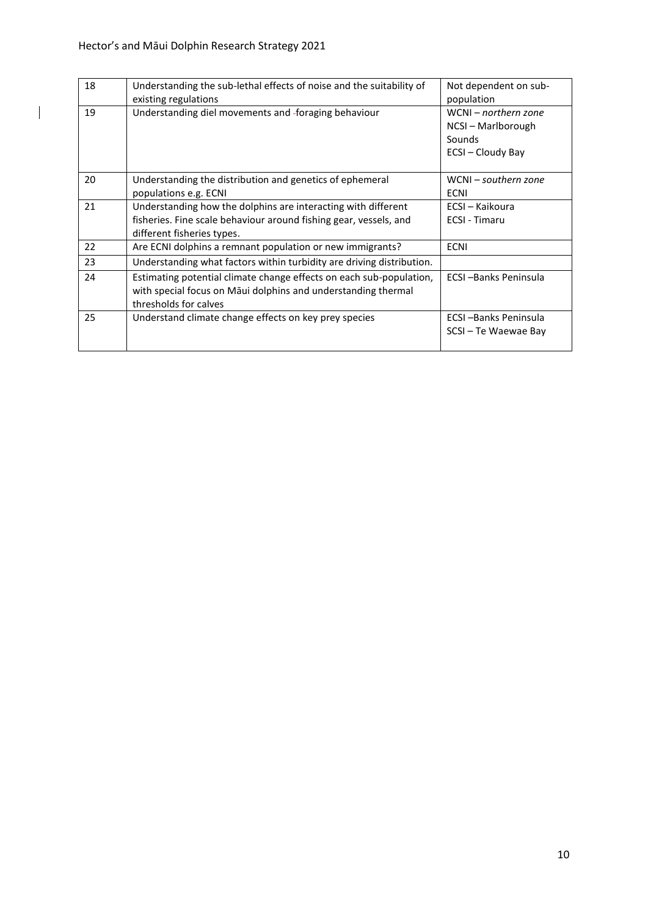$\overline{\phantom{a}}$ 

| 18 | Understanding the sub-lethal effects of noise and the suitability of<br>existing regulations                                                                     | Not dependent on sub-<br>population                                       |
|----|------------------------------------------------------------------------------------------------------------------------------------------------------------------|---------------------------------------------------------------------------|
| 19 | Understanding diel movements and -foraging behaviour                                                                                                             | WCNI - northern zone<br>NCSI – Marlborough<br>Sounds<br>ECSI - Cloudy Bay |
| 20 | Understanding the distribution and genetics of ephemeral<br>populations e.g. ECNI                                                                                | WCNI – southern zone<br><b>ECNI</b>                                       |
| 21 | Understanding how the dolphins are interacting with different<br>fisheries. Fine scale behaviour around fishing gear, vessels, and<br>different fisheries types. | ECSI – Kaikoura<br><b>ECSI - Timaru</b>                                   |
| 22 | Are ECNI dolphins a remnant population or new immigrants?                                                                                                        | <b>ECNI</b>                                                               |
| 23 | Understanding what factors within turbidity are driving distribution.                                                                                            |                                                                           |
| 24 | Estimating potential climate change effects on each sub-population,<br>with special focus on Māui dolphins and understanding thermal<br>thresholds for calves    | <b>ECSI-Banks Peninsula</b>                                               |
| 25 | Understand climate change effects on key prey species                                                                                                            | ECSI-Banks Peninsula<br>SCSI-Te Waewae Bay                                |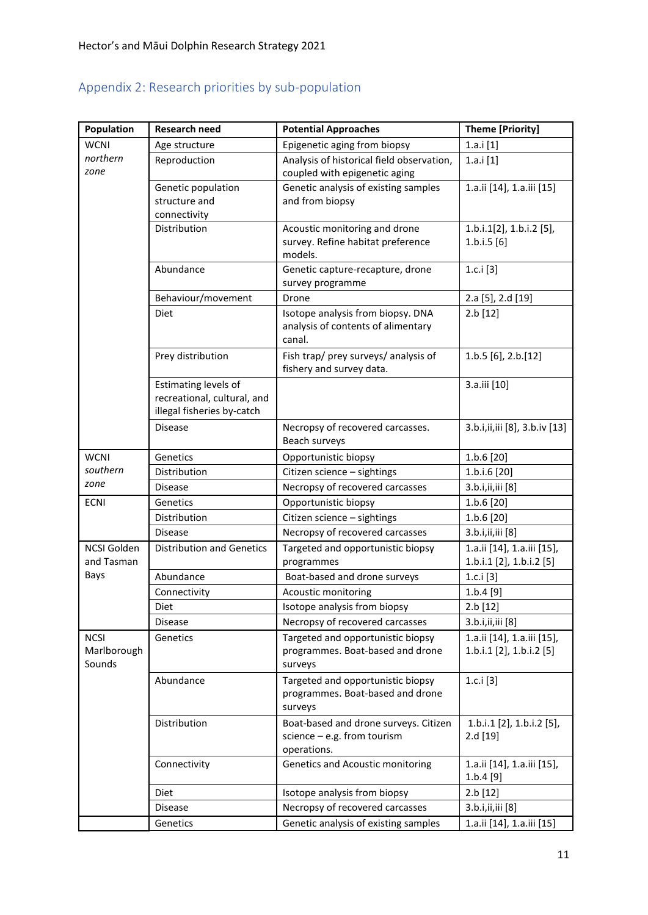## <span id="page-10-0"></span>Appendix 2: Research priorities by sub-population

| Population            | <b>Research need</b>                                | <b>Potential Approaches</b>                                        | <b>Theme [Priority]</b>                |
|-----------------------|-----------------------------------------------------|--------------------------------------------------------------------|----------------------------------------|
| <b>WCNI</b>           | Age structure                                       | Epigenetic aging from biopsy                                       | 1.a.i[1]                               |
| northern              | Reproduction                                        | Analysis of historical field observation,                          | 1.a.i[1]                               |
| zone                  |                                                     | coupled with epigenetic aging                                      |                                        |
|                       | Genetic population                                  | Genetic analysis of existing samples                               | 1.a.ii [14], 1.a.iii [15]              |
|                       | structure and                                       | and from biopsy                                                    |                                        |
|                       | connectivity                                        |                                                                    |                                        |
|                       | Distribution                                        | Acoustic monitoring and drone<br>survey. Refine habitat preference | 1.b.i.1[2], 1.b.i.2 [5],<br>1.b.i.5[6] |
|                       |                                                     | models.                                                            |                                        |
|                       | Abundance                                           | Genetic capture-recapture, drone                                   | 1.c.i $[3]$                            |
|                       |                                                     | survey programme                                                   |                                        |
|                       | Behaviour/movement                                  | Drone                                                              | 2.a [5], 2.d [19]                      |
|                       | Diet                                                | Isotope analysis from biopsy. DNA                                  | 2.b [12]                               |
|                       |                                                     | analysis of contents of alimentary                                 |                                        |
|                       |                                                     | canal.                                                             |                                        |
|                       | Prey distribution                                   | Fish trap/ prey surveys/ analysis of                               | 1.b.5 [6], 2.b.[12]                    |
|                       |                                                     | fishery and survey data.                                           |                                        |
|                       | Estimating levels of<br>recreational, cultural, and |                                                                    | 3.a.iii [10]                           |
|                       | illegal fisheries by-catch                          |                                                                    |                                        |
|                       | <b>Disease</b>                                      | Necropsy of recovered carcasses.                                   | 3.b.i,ii,iii [8], 3.b.iv [13]          |
|                       |                                                     | Beach surveys                                                      |                                        |
| <b>WCNI</b>           | Genetics                                            | Opportunistic biopsy                                               | 1.b.6 [20]                             |
| southern              | Distribution                                        | Citizen science - sightings                                        | 1.b.i.6 [20]                           |
| zone                  | <b>Disease</b>                                      | Necropsy of recovered carcasses                                    | 3.b.i,ii,iii [8]                       |
| <b>ECNI</b>           | Genetics                                            | Opportunistic biopsy                                               | 1.b.6 [20]                             |
|                       | Distribution                                        | Citizen science - sightings                                        | 1.b.6 [20]                             |
|                       | <b>Disease</b>                                      | Necropsy of recovered carcasses                                    | 3.b.i,ii,iii [8]                       |
| NCSI Golden           | <b>Distribution and Genetics</b>                    | Targeted and opportunistic biopsy                                  | 1.a.ii [14], 1.a.iii [15],             |
| and Tasman            |                                                     | programmes                                                         | 1.b.i.1 [2], 1.b.i.2 [5]               |
| Bays                  | Abundance                                           | Boat-based and drone surveys                                       | 1.c.i $[3]$                            |
|                       | Connectivity                                        | Acoustic monitoring                                                | 1.b.4 [9]                              |
|                       | Diet                                                | Isotope analysis from biopsy                                       | 2.b [12]                               |
|                       | <b>Disease</b>                                      | Necropsy of recovered carcasses                                    | 3.b.i,ii,iii [8]                       |
| <b>NCSI</b>           | Genetics                                            | Targeted and opportunistic biopsy                                  | 1.a.ii [14], 1.a.iii [15],             |
| Marlborough<br>Sounds |                                                     | programmes. Boat-based and drone<br>surveys                        | 1.b.i.1 [2], 1.b.i.2 [5]               |
|                       | Abundance                                           | Targeted and opportunistic biopsy                                  | 1.c.i $[3]$                            |
|                       |                                                     | programmes. Boat-based and drone                                   |                                        |
|                       |                                                     | surveys                                                            |                                        |
|                       | Distribution                                        | Boat-based and drone surveys. Citizen                              | 1.b.i.1 [2], 1.b.i.2 [5],              |
|                       |                                                     | science $-$ e.g. from tourism                                      | 2.d [19]                               |
|                       |                                                     | operations.                                                        |                                        |
|                       | Connectivity                                        | Genetics and Acoustic monitoring                                   | 1.a.ii [14], 1.a.iii [15],             |
|                       |                                                     |                                                                    | 1.b.4 [9]                              |
|                       | Diet                                                | Isotope analysis from biopsy                                       | 2.b [12]                               |
|                       | <b>Disease</b>                                      | Necropsy of recovered carcasses                                    | 3.b.i,ii,iii [8]                       |
|                       | Genetics                                            | Genetic analysis of existing samples                               | 1.a.ii [14], 1.a.iii [15]              |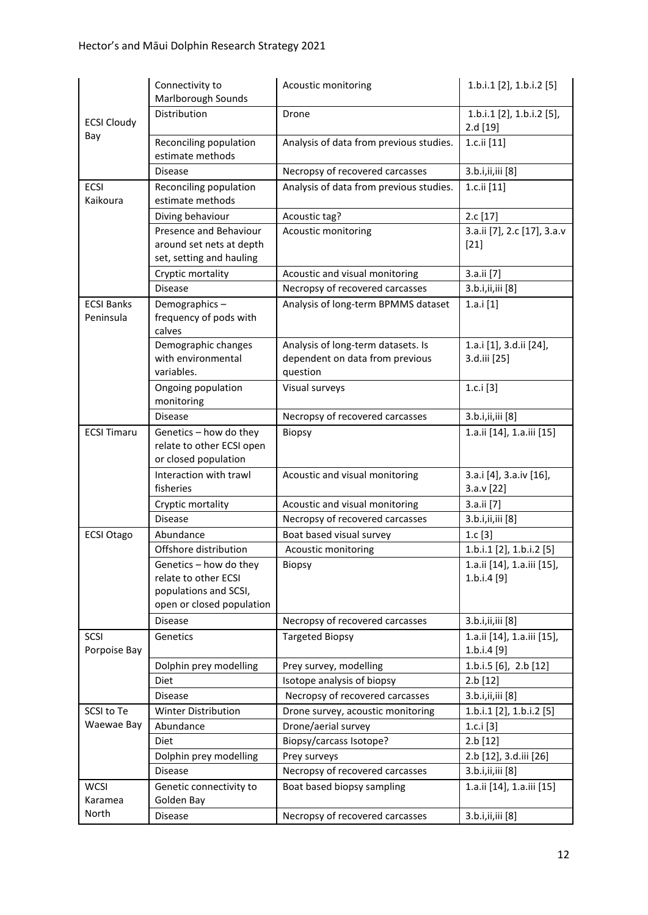|                                | Connectivity to<br>Marlborough Sounds                                                                | Acoustic monitoring                                                               | 1.b.i.1 [2], 1.b.i.2 [5]                    |
|--------------------------------|------------------------------------------------------------------------------------------------------|-----------------------------------------------------------------------------------|---------------------------------------------|
| <b>ECSI Cloudy</b>             | Distribution                                                                                         | Drone                                                                             | 1.b.i.1 $[2]$ , 1.b.i.2 $[5]$ ,<br>2.d [19] |
| Bay                            | Reconciling population<br>estimate methods                                                           | Analysis of data from previous studies.                                           | 1.c.ii [11]                                 |
|                                | <b>Disease</b>                                                                                       | Necropsy of recovered carcasses                                                   | 3.b.i,ii,iii [8]                            |
| ECSI<br>Kaikoura               | Reconciling population<br>estimate methods                                                           | Analysis of data from previous studies.                                           | 1.c.ii [11]                                 |
|                                | Diving behaviour                                                                                     | Acoustic tag?                                                                     | 2.c [17]                                    |
|                                | Presence and Behaviour<br>around set nets at depth<br>set, setting and hauling                       | Acoustic monitoring                                                               | 3.a.ii [7], 2.c [17], 3.a.v<br>$[21]$       |
|                                | Cryptic mortality                                                                                    | Acoustic and visual monitoring                                                    | 3.a.ii [7]                                  |
|                                | <b>Disease</b>                                                                                       | Necropsy of recovered carcasses                                                   | 3.b.i,ii,iii [8]                            |
| <b>ECSI Banks</b><br>Peninsula | Demographics-<br>frequency of pods with<br>calves                                                    | Analysis of long-term BPMMS dataset                                               | 1.a.i[1]                                    |
|                                | Demographic changes<br>with environmental<br>variables.                                              | Analysis of long-term datasets. Is<br>dependent on data from previous<br>question | 1.a.i [1], 3.d.ii [24],<br>3.d.iii [25]     |
|                                | Ongoing population<br>monitoring                                                                     | Visual surveys                                                                    | 1.c. $i$ [3]                                |
|                                | <b>Disease</b>                                                                                       | Necropsy of recovered carcasses                                                   | 3.b.i,ii,iii [8]                            |
| <b>ECSI Timaru</b>             | Genetics - how do they<br>relate to other ECSI open<br>or closed population                          | <b>Biopsy</b>                                                                     | 1.a.ii [14], 1.a.iii [15]                   |
|                                | Interaction with trawl<br>fisheries                                                                  | Acoustic and visual monitoring                                                    | 3.a.i [4], 3.a.iv [16],<br>3.a.v [22]       |
|                                | Cryptic mortality                                                                                    | Acoustic and visual monitoring                                                    | 3.a.ii [7]                                  |
|                                | <b>Disease</b>                                                                                       | Necropsy of recovered carcasses                                                   | 3.b.i,ii,iii [8]                            |
| <b>ECSI Otago</b>              | Abundance                                                                                            | Boat based visual survey                                                          | 1.c[3]                                      |
|                                | Offshore distribution                                                                                | Acoustic monitoring                                                               | 1.b.i.1 [2], 1.b.i.2 [5]                    |
|                                | Genetics – how do they<br>relate to other ECSI<br>populations and SCSI,<br>open or closed population | Biopsy                                                                            | 1.a.ii [14], 1.a.iii [15],<br>1.b.i.4 [9]   |
|                                | <b>Disease</b>                                                                                       | Necropsy of recovered carcasses                                                   | 3.b.i,ii,iii [8]                            |
| SCSI<br>Porpoise Bay           | Genetics                                                                                             | <b>Targeted Biopsy</b>                                                            | 1.a.ii [14], 1.a.iii [15],<br>1.b.i.4 [9]   |
|                                | Dolphin prey modelling                                                                               | Prey survey, modelling                                                            | 1.b.i.5 [6], 2.b [12]                       |
|                                | Diet                                                                                                 | Isotope analysis of biopsy                                                        | 2.b [12]                                    |
|                                | <b>Disease</b>                                                                                       | Necropsy of recovered carcasses                                                   | 3.b.i,ii,iii [8]                            |
| SCSI to Te                     | Winter Distribution                                                                                  | Drone survey, acoustic monitoring                                                 | 1.b.i.1 [2], 1.b.i.2 [5]                    |
| Waewae Bay                     | Abundance                                                                                            | Drone/aerial survey                                                               | 1.c.i $[3]$                                 |
|                                | Diet                                                                                                 | Biopsy/carcass Isotope?                                                           | 2.b [12]                                    |
|                                | Dolphin prey modelling                                                                               | Prey surveys                                                                      | 2.b [12], 3.d.iii [26]                      |
|                                | <b>Disease</b>                                                                                       | Necropsy of recovered carcasses                                                   | 3.b.i,ii,iii [8]                            |
| <b>WCSI</b><br>Karamea         | Genetic connectivity to<br>Golden Bay                                                                | Boat based biopsy sampling                                                        | 1.a.ii [14], 1.a.iii [15]                   |
| North                          | <b>Disease</b>                                                                                       | Necropsy of recovered carcasses                                                   | 3.b.i,ii,iii [8]                            |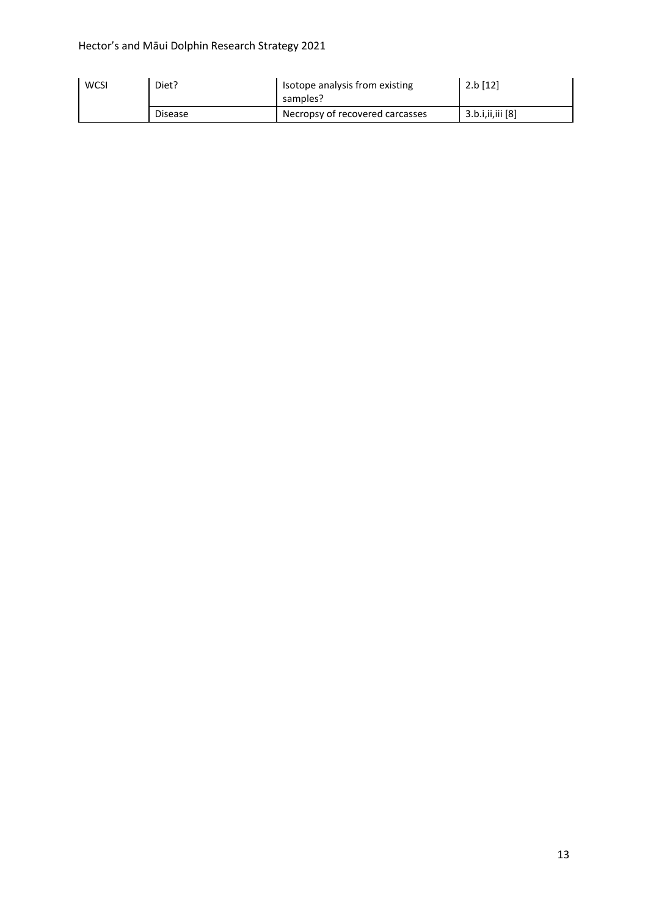#### Hector's and Māui Dolphin Research Strategy 2021

| <b>WCSI</b> | Diet?          | Isotope analysis from existing<br>samples? | $2.b$ [12]         |
|-------------|----------------|--------------------------------------------|--------------------|
|             | <b>Disease</b> | Necropsy of recovered carcasses            | 3.b.i, ii, iii [8] |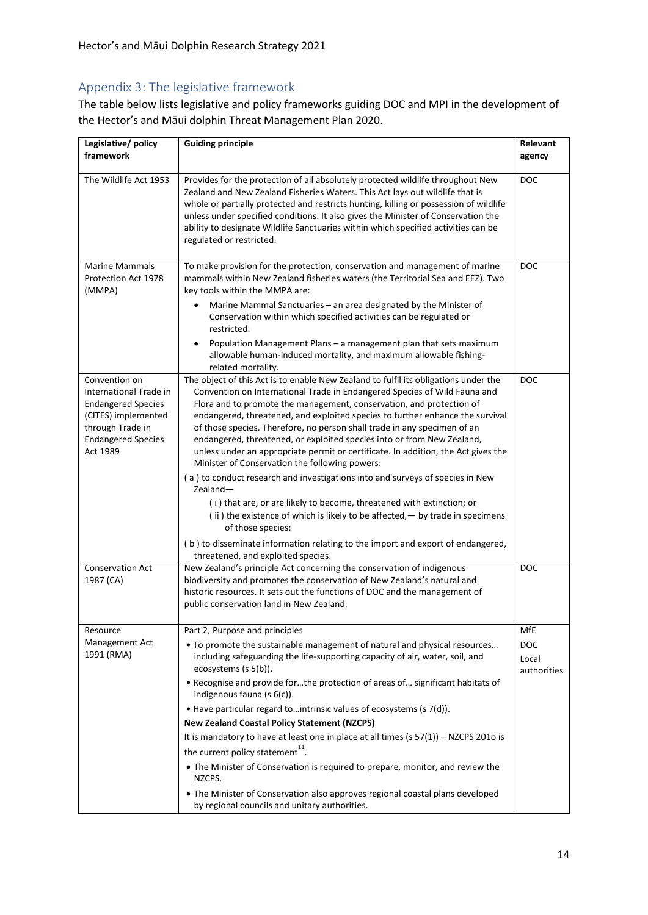#### <span id="page-13-0"></span>Appendix 3: The legislative framework

The table below lists legislative and policy frameworks guiding DOC and MPI in the development of the Hector's and Māui dolphin Threat Management Plan 2020.

| Legislative/policy<br>framework                                                                                                                          | <b>Guiding principle</b>                                                                                                                                                                                                                                                                                                                                                                                                                                                                                                                                                                                               | Relevant<br>agency                 |
|----------------------------------------------------------------------------------------------------------------------------------------------------------|------------------------------------------------------------------------------------------------------------------------------------------------------------------------------------------------------------------------------------------------------------------------------------------------------------------------------------------------------------------------------------------------------------------------------------------------------------------------------------------------------------------------------------------------------------------------------------------------------------------------|------------------------------------|
| The Wildlife Act 1953                                                                                                                                    | Provides for the protection of all absolutely protected wildlife throughout New<br>Zealand and New Zealand Fisheries Waters. This Act lays out wildlife that is<br>whole or partially protected and restricts hunting, killing or possession of wildlife<br>unless under specified conditions. It also gives the Minister of Conservation the<br>ability to designate Wildlife Sanctuaries within which specified activities can be<br>regulated or restricted.                                                                                                                                                        | <b>DOC</b>                         |
| <b>Marine Mammals</b><br>Protection Act 1978<br>(MMPA)                                                                                                   | To make provision for the protection, conservation and management of marine<br>mammals within New Zealand fisheries waters (the Territorial Sea and EEZ). Two<br>key tools within the MMPA are:<br>Marine Mammal Sanctuaries - an area designated by the Minister of                                                                                                                                                                                                                                                                                                                                                   | <b>DOC</b>                         |
|                                                                                                                                                          | Conservation within which specified activities can be regulated or<br>restricted.                                                                                                                                                                                                                                                                                                                                                                                                                                                                                                                                      |                                    |
|                                                                                                                                                          | Population Management Plans - a management plan that sets maximum<br>allowable human-induced mortality, and maximum allowable fishing-<br>related mortality.                                                                                                                                                                                                                                                                                                                                                                                                                                                           |                                    |
| Convention on<br>International Trade in<br><b>Endangered Species</b><br>(CITES) implemented<br>through Trade in<br><b>Endangered Species</b><br>Act 1989 | The object of this Act is to enable New Zealand to fulfil its obligations under the<br>Convention on International Trade in Endangered Species of Wild Fauna and<br>Flora and to promote the management, conservation, and protection of<br>endangered, threatened, and exploited species to further enhance the survival<br>of those species. Therefore, no person shall trade in any specimen of an<br>endangered, threatened, or exploited species into or from New Zealand,<br>unless under an appropriate permit or certificate. In addition, the Act gives the<br>Minister of Conservation the following powers: | <b>DOC</b>                         |
|                                                                                                                                                          | (a) to conduct research and investigations into and surveys of species in New<br>$Zealand -$<br>(i) that are, or are likely to become, threatened with extinction; or<br>(ii) the existence of which is likely to be affected, - by trade in specimens<br>of those species:                                                                                                                                                                                                                                                                                                                                            |                                    |
|                                                                                                                                                          | (b) to disseminate information relating to the import and export of endangered,<br>threatened, and exploited species.                                                                                                                                                                                                                                                                                                                                                                                                                                                                                                  |                                    |
| <b>Conservation Act</b><br>1987 (CA)                                                                                                                     | New Zealand's principle Act concerning the conservation of indigenous<br>biodiversity and promotes the conservation of New Zealand's natural and<br>historic resources. It sets out the functions of DOC and the management of<br>public conservation land in New Zealand.                                                                                                                                                                                                                                                                                                                                             | <b>DOC</b>                         |
| Resource                                                                                                                                                 | Part 2, Purpose and principles                                                                                                                                                                                                                                                                                                                                                                                                                                                                                                                                                                                         | MfE                                |
| Management Act<br>1991 (RMA)                                                                                                                             | . To promote the sustainable management of natural and physical resources<br>including safeguarding the life-supporting capacity of air, water, soil, and<br>ecosystems (s 5(b)).                                                                                                                                                                                                                                                                                                                                                                                                                                      | <b>DOC</b><br>Local<br>authorities |
|                                                                                                                                                          | . Recognise and provide forthe protection of areas of significant habitats of<br>indigenous fauna (s 6(c)).                                                                                                                                                                                                                                                                                                                                                                                                                                                                                                            |                                    |
|                                                                                                                                                          | • Have particular regard tointrinsic values of ecosystems (s 7(d)).                                                                                                                                                                                                                                                                                                                                                                                                                                                                                                                                                    |                                    |
|                                                                                                                                                          | <b>New Zealand Coastal Policy Statement (NZCPS)</b>                                                                                                                                                                                                                                                                                                                                                                                                                                                                                                                                                                    |                                    |
|                                                                                                                                                          | It is mandatory to have at least one in place at all times $(s 57(1)) - NZCPS 2010$ is                                                                                                                                                                                                                                                                                                                                                                                                                                                                                                                                 |                                    |
|                                                                                                                                                          | the current policy statement <sup>11</sup> .                                                                                                                                                                                                                                                                                                                                                                                                                                                                                                                                                                           |                                    |
|                                                                                                                                                          | • The Minister of Conservation is required to prepare, monitor, and review the<br>NZCPS.                                                                                                                                                                                                                                                                                                                                                                                                                                                                                                                               |                                    |
|                                                                                                                                                          | • The Minister of Conservation also approves regional coastal plans developed<br>by regional councils and unitary authorities.                                                                                                                                                                                                                                                                                                                                                                                                                                                                                         |                                    |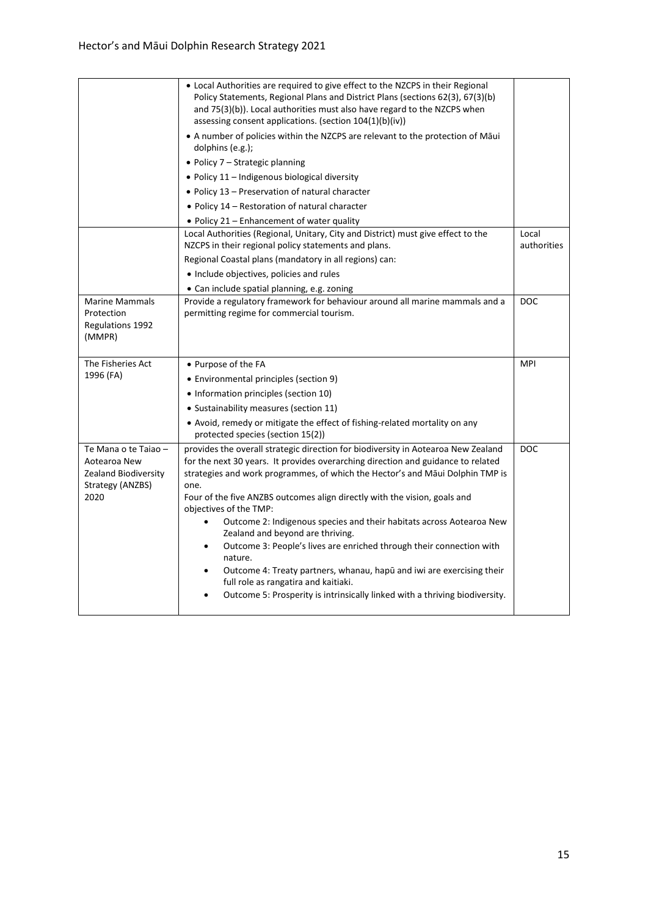|                                                                                          | • Local Authorities are required to give effect to the NZCPS in their Regional<br>Policy Statements, Regional Plans and District Plans (sections 62(3), 67(3)(b)<br>and 75(3)(b)). Local authorities must also have regard to the NZCPS when<br>assessing consent applications. (section $104(1)(b)(iv)$ )                                                                                                                                                                                                                                                                                                                                                                                                                                                                                     |                      |
|------------------------------------------------------------------------------------------|------------------------------------------------------------------------------------------------------------------------------------------------------------------------------------------------------------------------------------------------------------------------------------------------------------------------------------------------------------------------------------------------------------------------------------------------------------------------------------------------------------------------------------------------------------------------------------------------------------------------------------------------------------------------------------------------------------------------------------------------------------------------------------------------|----------------------|
|                                                                                          | • A number of policies within the NZCPS are relevant to the protection of Māui<br>dolphins (e.g.);                                                                                                                                                                                                                                                                                                                                                                                                                                                                                                                                                                                                                                                                                             |                      |
|                                                                                          | • Policy $7$ – Strategic planning                                                                                                                                                                                                                                                                                                                                                                                                                                                                                                                                                                                                                                                                                                                                                              |                      |
|                                                                                          | • Policy $11$ – Indigenous biological diversity                                                                                                                                                                                                                                                                                                                                                                                                                                                                                                                                                                                                                                                                                                                                                |                      |
|                                                                                          | • Policy 13 - Preservation of natural character                                                                                                                                                                                                                                                                                                                                                                                                                                                                                                                                                                                                                                                                                                                                                |                      |
|                                                                                          | • Policy 14 – Restoration of natural character                                                                                                                                                                                                                                                                                                                                                                                                                                                                                                                                                                                                                                                                                                                                                 |                      |
|                                                                                          | . Policy 21 - Enhancement of water quality                                                                                                                                                                                                                                                                                                                                                                                                                                                                                                                                                                                                                                                                                                                                                     |                      |
|                                                                                          | Local Authorities (Regional, Unitary, City and District) must give effect to the<br>NZCPS in their regional policy statements and plans.                                                                                                                                                                                                                                                                                                                                                                                                                                                                                                                                                                                                                                                       | Local<br>authorities |
|                                                                                          | Regional Coastal plans (mandatory in all regions) can:                                                                                                                                                                                                                                                                                                                                                                                                                                                                                                                                                                                                                                                                                                                                         |                      |
|                                                                                          | • Include objectives, policies and rules                                                                                                                                                                                                                                                                                                                                                                                                                                                                                                                                                                                                                                                                                                                                                       |                      |
|                                                                                          | • Can include spatial planning, e.g. zoning                                                                                                                                                                                                                                                                                                                                                                                                                                                                                                                                                                                                                                                                                                                                                    |                      |
| <b>Marine Mammals</b><br>Protection<br><b>Regulations 1992</b><br>(MMPR)                 | Provide a regulatory framework for behaviour around all marine mammals and a<br>permitting regime for commercial tourism.                                                                                                                                                                                                                                                                                                                                                                                                                                                                                                                                                                                                                                                                      | <b>DOC</b>           |
| The Fisheries Act                                                                        | • Purpose of the FA                                                                                                                                                                                                                                                                                                                                                                                                                                                                                                                                                                                                                                                                                                                                                                            | <b>MPI</b>           |
| 1996 (FA)                                                                                | • Environmental principles (section 9)                                                                                                                                                                                                                                                                                                                                                                                                                                                                                                                                                                                                                                                                                                                                                         |                      |
|                                                                                          | • Information principles (section 10)                                                                                                                                                                                                                                                                                                                                                                                                                                                                                                                                                                                                                                                                                                                                                          |                      |
|                                                                                          | • Sustainability measures (section 11)                                                                                                                                                                                                                                                                                                                                                                                                                                                                                                                                                                                                                                                                                                                                                         |                      |
|                                                                                          |                                                                                                                                                                                                                                                                                                                                                                                                                                                                                                                                                                                                                                                                                                                                                                                                |                      |
|                                                                                          | • Avoid, remedy or mitigate the effect of fishing-related mortality on any<br>protected species (section 15(2))                                                                                                                                                                                                                                                                                                                                                                                                                                                                                                                                                                                                                                                                                |                      |
| Te Mana o te Taiao -<br>Aotearoa New<br>Zealand Biodiversity<br>Strategy (ANZBS)<br>2020 | provides the overall strategic direction for biodiversity in Aotearoa New Zealand<br>for the next 30 years. It provides overarching direction and guidance to related<br>strategies and work programmes, of which the Hector's and Maui Dolphin TMP is<br>one.<br>Four of the five ANZBS outcomes align directly with the vision, goals and<br>objectives of the TMP:<br>Outcome 2: Indigenous species and their habitats across Aotearoa New<br>$\bullet$<br>Zealand and beyond are thriving.<br>Outcome 3: People's lives are enriched through their connection with<br>$\bullet$<br>nature.<br>Outcome 4: Treaty partners, whanau, hapu and iwi are exercising their<br>full role as rangatira and kaitiaki.<br>Outcome 5: Prosperity is intrinsically linked with a thriving biodiversity. | <b>DOC</b>           |
|                                                                                          |                                                                                                                                                                                                                                                                                                                                                                                                                                                                                                                                                                                                                                                                                                                                                                                                |                      |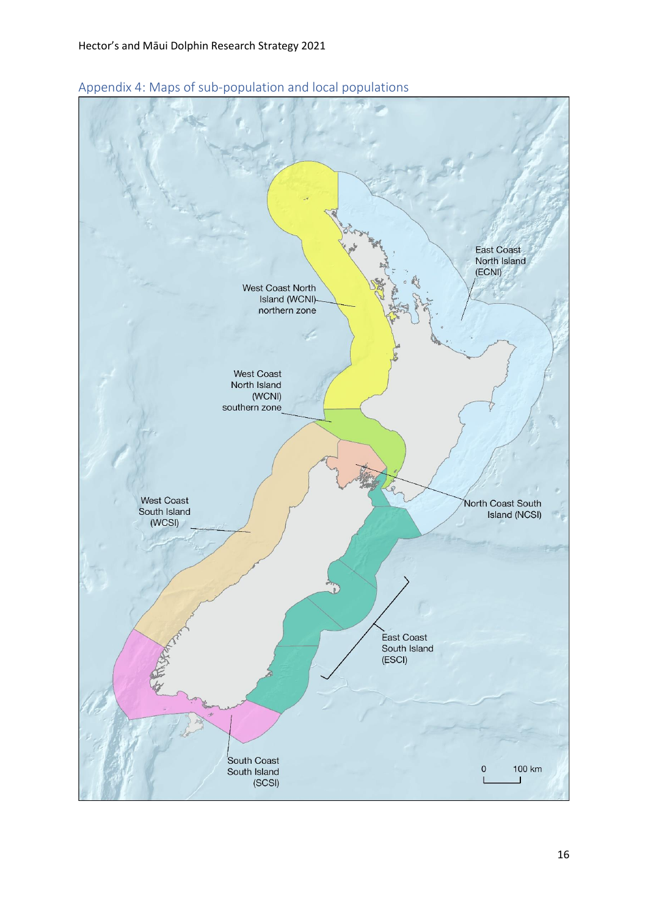

<span id="page-15-0"></span>Appendix 4: Maps of sub-population and local populations